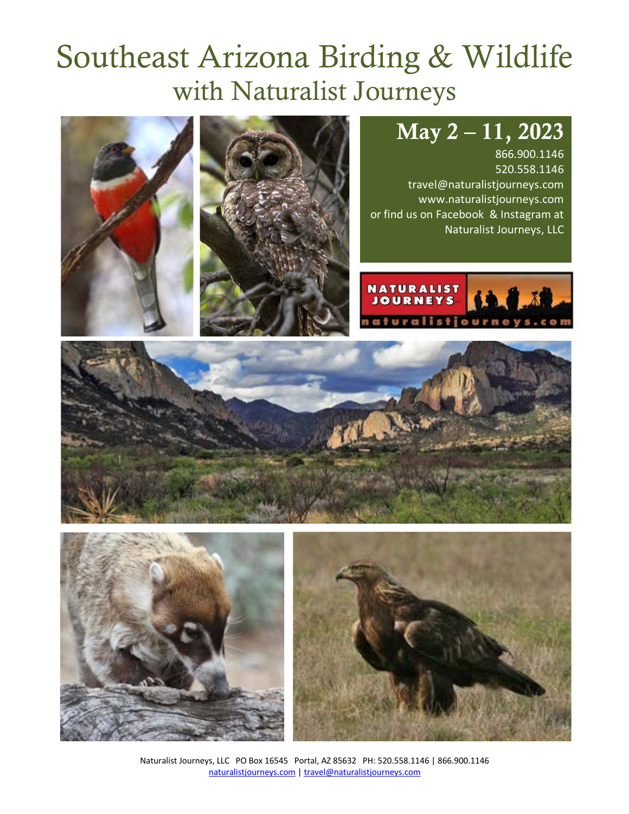# Southeast Arizona Birding & Wildlife with Naturalist Journeys

# May 2 – 11, 2023

866.900.1146 520.558.1146 travel@naturalistjourneys.com www.naturalistjourneys.com or find us on Facebook & Instagram at Naturalist Journeys, LLC

**NATURALIST JOURNEYS** 











Naturalist Journeys, LLC PO Box 16545 Portal, AZ 85632 PH: 520.558.1146 | 866.900.1146 naturalistjourneys.com | travel@naturalistjourneys.com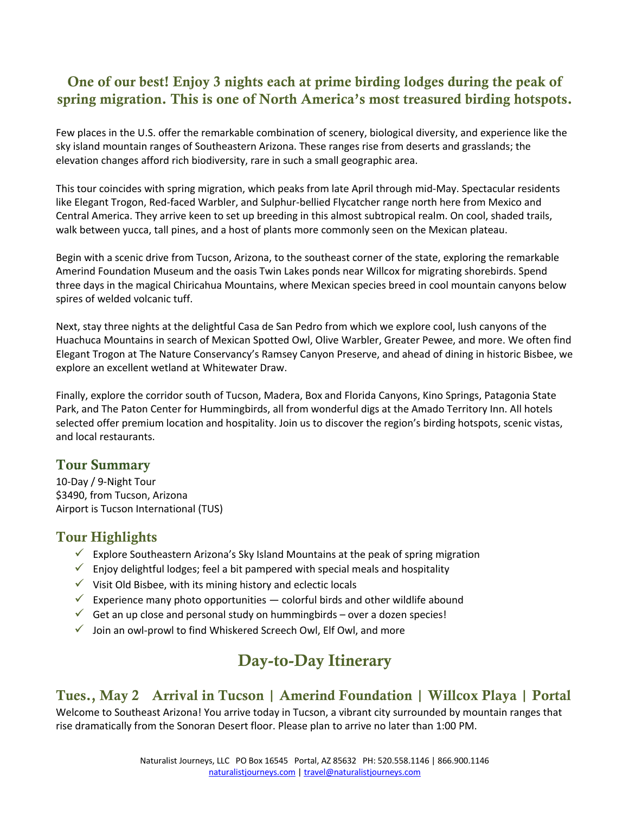# One of our best! Enjoy 3 nights each at prime birding lodges during the peak of spring migration. This is one of North America's most treasured birding hotspots.

Few places in the U.S. offer the remarkable combination of scenery, biological diversity, and experience like the sky island mountain ranges of Southeastern Arizona. These ranges rise from deserts and grasslands; the elevation changes afford rich biodiversity, rare in such a small geographic area.

This tour coincides with spring migration, which peaks from late April through mid-May. Spectacular residents like Elegant Trogon, Red-faced Warbler, and Sulphur-bellied Flycatcher range north here from Mexico and Central America. They arrive keen to set up breeding in this almost subtropical realm. On cool, shaded trails, walk between yucca, tall pines, and a host of plants more commonly seen on the Mexican plateau.

Begin with a scenic drive from Tucson, Arizona, to the southeast corner of the state, exploring the remarkable Amerind Foundation Museum and the oasis Twin Lakes ponds near Willcox for migrating shorebirds. Spend three days in the magical Chiricahua Mountains, where Mexican species breed in cool mountain canyons below spires of welded volcanic tuff.

Next, stay three nights at the delightful Casa de San Pedro from which we explore cool, lush canyons of the Huachuca Mountains in search of Mexican Spotted Owl, Olive Warbler, Greater Pewee, and more. We often find Elegant Trogon at The Nature Conservancy's Ramsey Canyon Preserve, and ahead of dining in historic Bisbee, we explore an excellent wetland at Whitewater Draw.

Finally, explore the corridor south of Tucson, Madera, Box and Florida Canyons, Kino Springs, Patagonia State Park, and The Paton Center for Hummingbirds, all from wonderful digs at the Amado Territory Inn. All hotels selected offer premium location and hospitality. Join us to discover the region's birding hotspots, scenic vistas, and local restaurants.

### Tour Summary

10-Day / 9-Night Tour \$3490, from Tucson, Arizona Airport is Tucson International (TUS)

### Tour Highlights

- Explore Southeastern Arizona's Sky Island Mountains at the peak of spring migration
- $\checkmark$  Enjoy delightful lodges; feel a bit pampered with special meals and hospitality
- $\checkmark$  Visit Old Bisbee, with its mining history and eclectic locals
- Experience many photo opportunities colorful birds and other wildlife abound
- $\checkmark$  Get an up close and personal study on hummingbirds over a dozen species!
- $\checkmark$  Join an owl-prowl to find Whiskered Screech Owl, Elf Owl, and more

# Day-to-Day Itinerary

# Tues., May 2 Arrival in Tucson | Amerind Foundation | Willcox Playa | Portal

Welcome to Southeast Arizona! You arrive today in Tucson, a vibrant city surrounded by mountain ranges that rise dramatically from the Sonoran Desert floor. Please plan to arrive no later than 1:00 PM.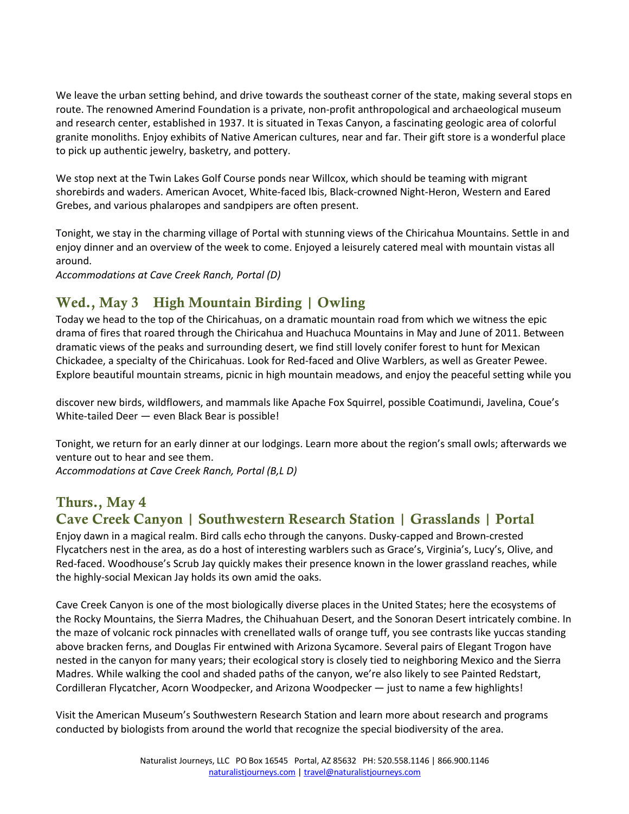We leave the urban setting behind, and drive towards the southeast corner of the state, making several stops en route. The renowned Amerind Foundation is a private, non-profit anthropological and archaeological museum and research center, established in 1937. It is situated in Texas Canyon, a fascinating geologic area of colorful granite monoliths. Enjoy exhibits of Native American cultures, near and far. Their gift store is a wonderful place to pick up authentic jewelry, basketry, and pottery.

We stop next at the Twin Lakes Golf Course ponds near Willcox, which should be teaming with migrant shorebirds and waders. American Avocet, White-faced Ibis, Black-crowned Night-Heron, Western and Eared Grebes, and various phalaropes and sandpipers are often present.

Tonight, we stay in the charming village of Portal with stunning views of the Chiricahua Mountains. Settle in and enjoy dinner and an overview of the week to come. Enjoyed a leisurely catered meal with mountain vistas all around.

*Accommodations at Cave Creek Ranch, Portal (D)*

# Wed., May 3 High Mountain Birding | Owling

Today we head to the top of the Chiricahuas, on a dramatic mountain road from which we witness the epic drama of fires that roared through the Chiricahua and Huachuca Mountains in May and June of 2011. Between dramatic views of the peaks and surrounding desert, we find still lovely conifer forest to hunt for Mexican Chickadee, a specialty of the Chiricahuas. Look for Red-faced and Olive Warblers, as well as Greater Pewee. Explore beautiful mountain streams, picnic in high mountain meadows, and enjoy the peaceful setting while you

discover new birds, wildflowers, and mammals like Apache Fox Squirrel, possible Coatimundi, Javelina, Coue's White-tailed Deer — even Black Bear is possible!

Tonight, we return for an early dinner at our lodgings. Learn more about the region's small owls; afterwards we venture out to hear and see them.

*Accommodations at Cave Creek Ranch, Portal (B,L D)*

# Thurs., May 4

# Cave Creek Canyon | Southwestern Research Station | Grasslands | Portal

Enjoy dawn in a magical realm. Bird calls echo through the canyons. Dusky-capped and Brown-crested Flycatchers nest in the area, as do a host of interesting warblers such as Grace's, Virginia's, Lucy's, Olive, and Red-faced. Woodhouse's Scrub Jay quickly makes their presence known in the lower grassland reaches, while the highly-social Mexican Jay holds its own amid the oaks.

Cave Creek Canyon is one of the most biologically diverse places in the United States; here the ecosystems of the Rocky Mountains, the Sierra Madres, the Chihuahuan Desert, and the Sonoran Desert intricately combine. In the maze of volcanic rock pinnacles with crenellated walls of orange tuff, you see contrasts like yuccas standing above bracken ferns, and Douglas Fir entwined with Arizona Sycamore. Several pairs of Elegant Trogon have nested in the canyon for many years; their ecological story is closely tied to neighboring Mexico and the Sierra Madres. While walking the cool and shaded paths of the canyon, we're also likely to see Painted Redstart, Cordilleran Flycatcher, Acorn Woodpecker, and Arizona Woodpecker — just to name a few highlights!

Visit the American Museum's Southwestern Research Station and learn more about research and programs conducted by biologists from around the world that recognize the special biodiversity of the area.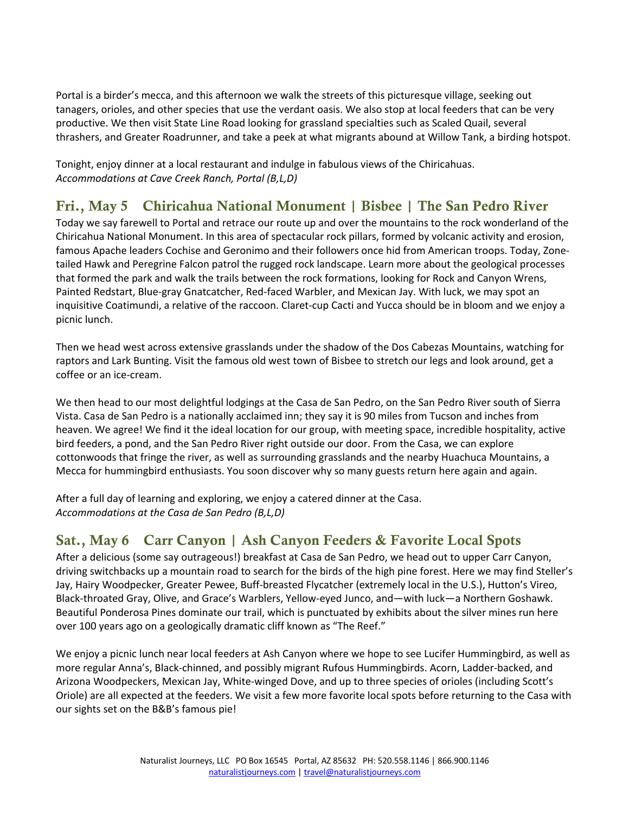Portal is a birder's mecca, and this afternoon we walk the streets of this picturesque village, seeking out tanagers, orioles, and other species that use the verdant oasis. We also stop at local feeders that can be very productive. We then visit State Line Road looking for grassland specialties such as Scaled Quail, several thrashers, and Greater Roadrunner, and take a peek at what migrants abound at Willow Tank, a birding hotspot.

Tonight, enjoy dinner at a local restaurant and indulge in fabulous views of the Chiricahuas. *Accommodations at Cave Creek Ranch, Portal (B,L,D)*

# Fri., May 5 Chiricahua National Monument | Bisbee | The San Pedro River

Today we say farewell to Portal and retrace our route up and over the mountains to the rock wonderland of the Chiricahua National Monument. In this area of spectacular rock pillars, formed by volcanic activity and erosion, famous Apache leaders Cochise and Geronimo and their followers once hid from American troops. Today, Zonetailed Hawk and Peregrine Falcon patrol the rugged rock landscape. Learn more about the geological processes that formed the park and walk the trails between the rock formations, looking for Rock and Canyon Wrens, Painted Redstart, Blue-gray Gnatcatcher, Red-faced Warbler, and Mexican Jay. With luck, we may spot an inquisitive Coatimundi, a relative of the raccoon. Claret-cup Cacti and Yucca should be in bloom and we enjoy a picnic lunch.

Then we head west across extensive grasslands under the shadow of the Dos Cabezas Mountains, watching for raptors and Lark Bunting. Visit the famous old west town of Bisbee to stretch our legs and look around, get a coffee or an ice-cream.

We then head to our most delightful lodgings at the Casa de San Pedro, on the San Pedro River south of Sierra Vista. Casa de San Pedro is a nationally acclaimed inn; they say it is 90 miles from Tucson and inches from heaven. We agree! We find it the ideal location for our group, with meeting space, incredible hospitality, active bird feeders, a pond, and the San Pedro River right outside our door. From the Casa, we can explore cottonwoods that fringe the river, as well as surrounding grasslands and the nearby Huachuca Mountains, a Mecca for hummingbird enthusiasts. You soon discover why so many guests return here again and again.

After a full day of learning and exploring, we enjoy a catered dinner at the Casa. *Accommodations at the Casa de San Pedro (B,L,D)* 

# Sat., May 6 Carr Canyon | Ash Canyon Feeders & Favorite Local Spots

After a delicious (some say outrageous!) breakfast at Casa de San Pedro, we head out to upper Carr Canyon, driving switchbacks up a mountain road to search for the birds of the high pine forest. Here we may find Steller's Jay, Hairy Woodpecker, Greater Pewee, Buff-breasted Flycatcher (extremely local in the U.S.), Hutton's Vireo, Black-throated Gray, Olive, and Grace's Warblers, Yellow-eyed Junco, and—with luck—a Northern Goshawk. Beautiful Ponderosa Pines dominate our trail, which is punctuated by exhibits about the silver mines run here over 100 years ago on a geologically dramatic cliff known as "The Reef."

We enjoy a picnic lunch near local feeders at Ash Canyon where we hope to see Lucifer Hummingbird, as well as more regular Anna's, Black-chinned, and possibly migrant Rufous Hummingbirds. Acorn, Ladder-backed, and Arizona Woodpeckers, Mexican Jay, White-winged Dove, and up to three species of orioles (including Scott's Oriole) are all expected at the feeders. We visit a few more favorite local spots before returning to the Casa with our sights set on the B&B's famous pie!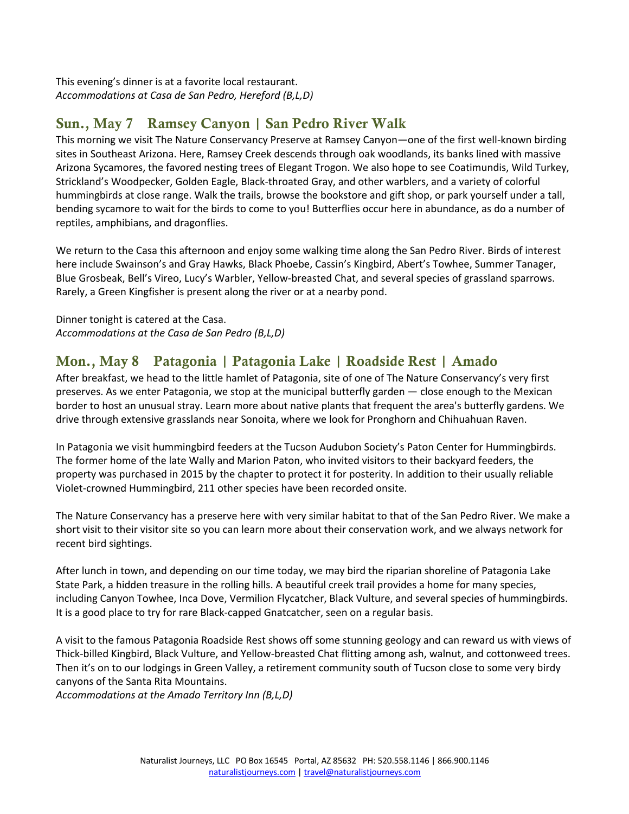This evening's dinner is at a favorite local restaurant. *Accommodations at Casa de San Pedro, Hereford (B,L,D)*

# Sun., May 7 Ramsey Canyon | San Pedro River Walk

This morning we visit The Nature Conservancy Preserve at Ramsey Canyon—one of the first well-known birding sites in Southeast Arizona. Here, Ramsey Creek descends through oak woodlands, its banks lined with massive Arizona Sycamores, the favored nesting trees of Elegant Trogon. We also hope to see Coatimundis, Wild Turkey, Strickland's Woodpecker, Golden Eagle, Black-throated Gray, and other warblers, and a variety of colorful hummingbirds at close range. Walk the trails, browse the bookstore and gift shop, or park yourself under a tall, bending sycamore to wait for the birds to come to you! Butterflies occur here in abundance, as do a number of reptiles, amphibians, and dragonflies.

We return to the Casa this afternoon and enjoy some walking time along the San Pedro River. Birds of interest here include Swainson's and Gray Hawks, Black Phoebe, Cassin's Kingbird, Abert's Towhee, Summer Tanager, Blue Grosbeak, Bell's Vireo, Lucy's Warbler, Yellow-breasted Chat, and several species of grassland sparrows. Rarely, a Green Kingfisher is present along the river or at a nearby pond.

Dinner tonight is catered at the Casa. *Accommodations at the Casa de San Pedro (B,L,D)*

# Mon., May 8 Patagonia | Patagonia Lake | Roadside Rest | Amado

After breakfast, we head to the little hamlet of Patagonia, site of one of The Nature Conservancy's very first preserves. As we enter Patagonia, we stop at the municipal butterfly garden ― close enough to the Mexican border to host an unusual stray. Learn more about native plants that frequent the area's butterfly gardens. We drive through extensive grasslands near Sonoita, where we look for Pronghorn and Chihuahuan Raven.

In Patagonia we visit hummingbird feeders at the Tucson Audubon Society's Paton Center for Hummingbirds. The former home of the late Wally and Marion Paton, who invited visitors to their backyard feeders, the property was purchased in 2015 by the chapter to protect it for posterity. In addition to their usually reliable Violet-crowned Hummingbird, 211 other species have been recorded onsite.

The Nature Conservancy has a preserve here with very similar habitat to that of the San Pedro River. We make a short visit to their visitor site so you can learn more about their conservation work, and we always network for recent bird sightings.

After lunch in town, and depending on our time today, we may bird the riparian shoreline of Patagonia Lake State Park, a hidden treasure in the rolling hills. A beautiful creek trail provides a home for many species, including Canyon Towhee, Inca Dove, Vermilion Flycatcher, Black Vulture, and several species of hummingbirds. It is a good place to try for rare Black-capped Gnatcatcher, seen on a regular basis.

A visit to the famous Patagonia Roadside Rest shows off some stunning geology and can reward us with views of Thick-billed Kingbird, Black Vulture, and Yellow-breasted Chat flitting among ash, walnut, and cottonweed trees. Then it's on to our lodgings in Green Valley, a retirement community south of Tucson close to some very birdy canyons of the Santa Rita Mountains.

*Accommodations at the Amado Territory Inn (B,L,D)*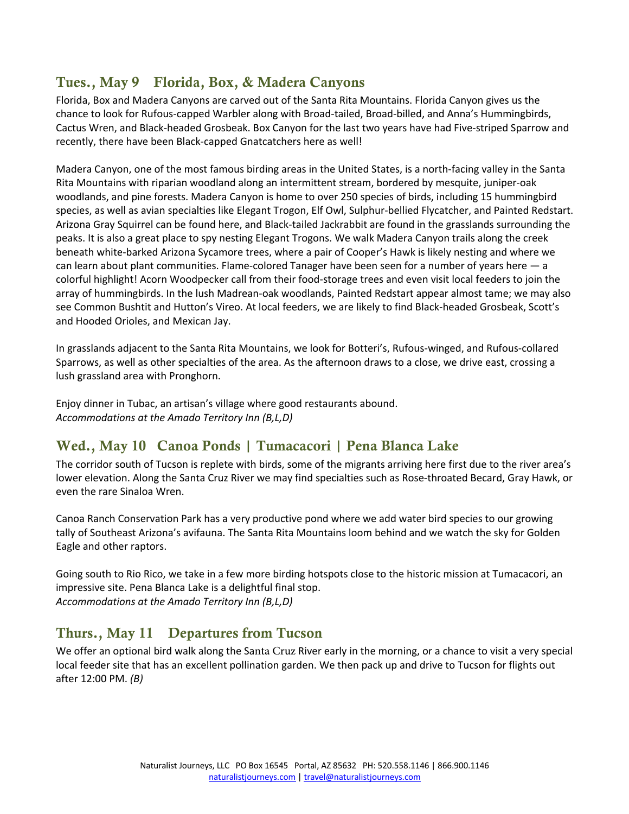# Tues., May 9 Florida, Box, & Madera Canyons

Florida, Box and Madera Canyons are carved out of the Santa Rita Mountains. Florida Canyon gives us the chance to look for Rufous-capped Warbler along with Broad-tailed, Broad-billed, and Anna's Hummingbirds, Cactus Wren, and Black-headed Grosbeak. Box Canyon for the last two years have had Five-striped Sparrow and recently, there have been Black-capped Gnatcatchers here as well!

Madera Canyon, one of the most famous birding areas in the United States, is a north-facing valley in the Santa Rita Mountains with riparian woodland along an intermittent stream, bordered by mesquite, juniper-oak woodlands, and pine forests. Madera Canyon is home to over 250 species of birds, including 15 hummingbird species, as well as avian specialties like Elegant Trogon, Elf Owl, Sulphur-bellied Flycatcher, and Painted Redstart. Arizona Gray Squirrel can be found here, and Black-tailed Jackrabbit are found in the grasslands surrounding the peaks. It is also a great place to spy nesting Elegant Trogons. We walk Madera Canyon trails along the creek beneath white-barked Arizona Sycamore trees, where a pair of Cooper's Hawk is likely nesting and where we can learn about plant communities. Flame-colored Tanager have been seen for a number of years here — a colorful highlight! Acorn Woodpecker call from their food-storage trees and even visit local feeders to join the array of hummingbirds. In the lush Madrean-oak woodlands, Painted Redstart appear almost tame; we may also see Common Bushtit and Hutton's Vireo. At local feeders, we are likely to find Black-headed Grosbeak, Scott's and Hooded Orioles, and Mexican Jay.

In grasslands adjacent to the Santa Rita Mountains, we look for Botteri's, Rufous-winged, and Rufous-collared Sparrows, as well as other specialties of the area. As the afternoon draws to a close, we drive east, crossing a lush grassland area with Pronghorn.

Enjoy dinner in Tubac, an artisan's village where good restaurants abound. *Accommodations at the Amado Territory Inn (B,L,D)* 

# Wed., May 10 Canoa Ponds | Tumacacori | Pena Blanca Lake

The corridor south of Tucson is replete with birds, some of the migrants arriving here first due to the river area's lower elevation. Along the Santa Cruz River we may find specialties such as Rose-throated Becard, Gray Hawk, or even the rare Sinaloa Wren.

Canoa Ranch Conservation Park has a very productive pond where we add water bird species to our growing tally of Southeast Arizona's avifauna. The Santa Rita Mountains loom behind and we watch the sky for Golden Eagle and other raptors.

Going south to Rio Rico, we take in a few more birding hotspots close to the historic mission at Tumacacori, an impressive site. Pena Blanca Lake is a delightful final stop. *Accommodations at the Amado Territory Inn (B,L,D)*

# Thurs., May 11 Departures from Tucson

We offer an optional bird walk along the Santa Cruz River early in the morning, or a chance to visit a very special local feeder site that has an excellent pollination garden. We then pack up and drive to Tucson for flights out after 12:00 PM. *(B)*